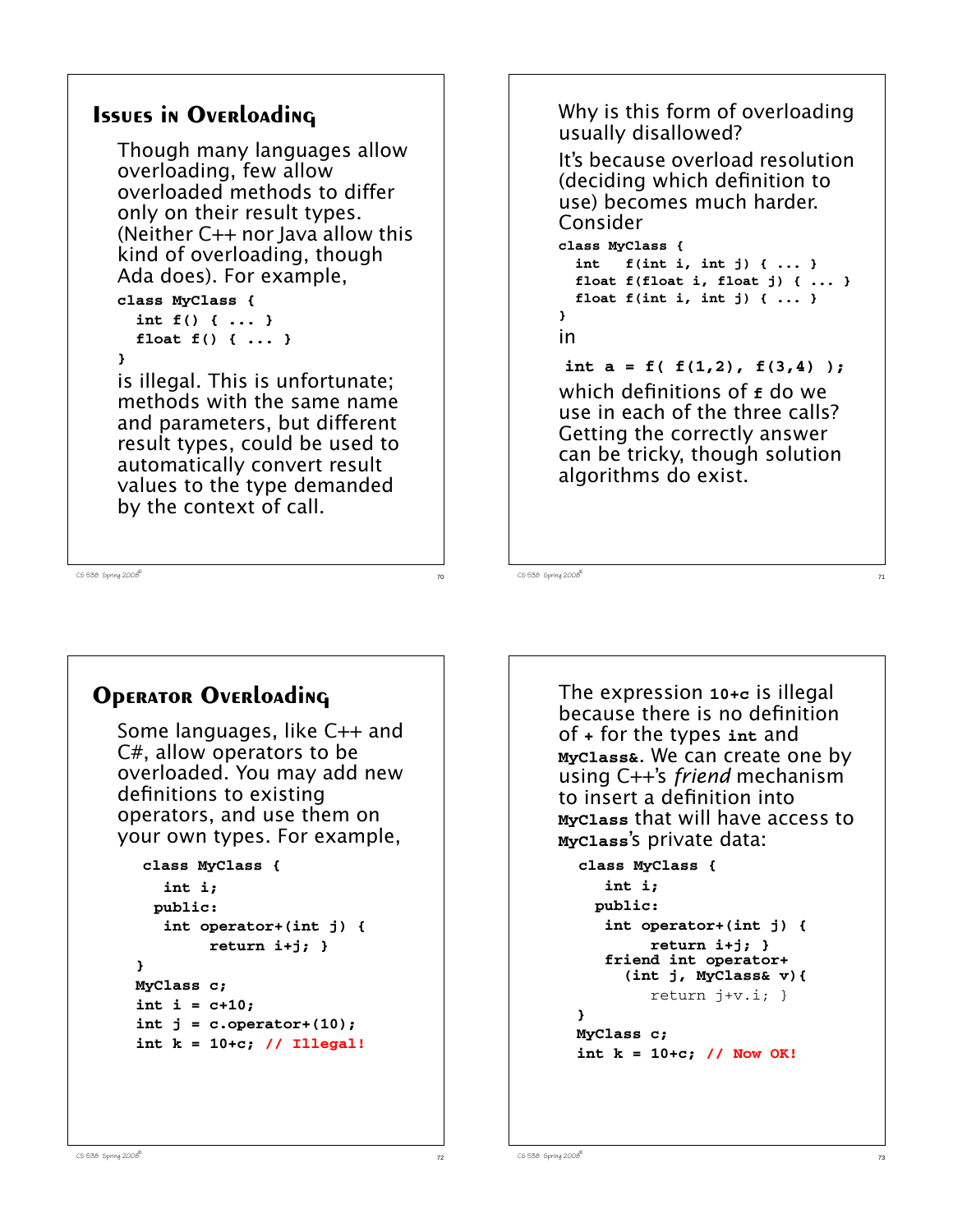```
Issues in Overloading
  Though many languages allow
  overloading, few allow
  overloaded methods to differ
  only on their result types.
  (Neither C++ nor Java allow this
  kind of overloading, though
  Ada does). For example,
  class MyClass {
     int f() { ... }
     float f() { ... }
  }
  is illegal. This is unfortunate;
  methods with the same name
  and parameters, but different
  result types, could be used to
  automatically convert result
  values to the type demanded
  by the context of call.
```

```
Why is this form of overloading
usually disallowed?
```
It's because overload resolution (deciding which definition to use) becomes much harder. Consider

```
class MyClass {
  int f(int i, int j) { ... }
  float f(float i, float j) { ... }
  float f(int i, int j) { ... }
}
in
int a = f( f(1,2), f(3,4) );
which definitions of f do we
use in each of the three calls?
Getting the correctly answer
can be tricky, though solution
algorithms do exist.
```
 $C5$  538 Spring 2008

**Operator Overloading**

Some languages, like C++ and C#, allow operators to be overloaded. You may add new definitions to existing operators, and use them on your own types. For example,

```
 class MyClass {
    int i;
   public:
    int operator+(int j) {
          return i+j; }
 }
 MyClass c;
 int i = c+10;
 int j = c.operator+(10);
 int k = 10+c; // Illegal!
```
The expression **10+c** is illegal because there is no definition of **+** for the types **int** and **MyClass&**. We can create one by using C++'s *friend* mechanism to insert a definition into **MyClass** that will have access to **MyClass**'s private data:

```
class MyClass {
    int i;
   public:
    int operator+(int j) {
         return i+j; }
    friend int operator+
       (int j, MyClass& v){
         return j+v.i; }
 }
 MyClass c;
 int k = 10+c; // Now OK!
```
 $C5$  538 Spring 2008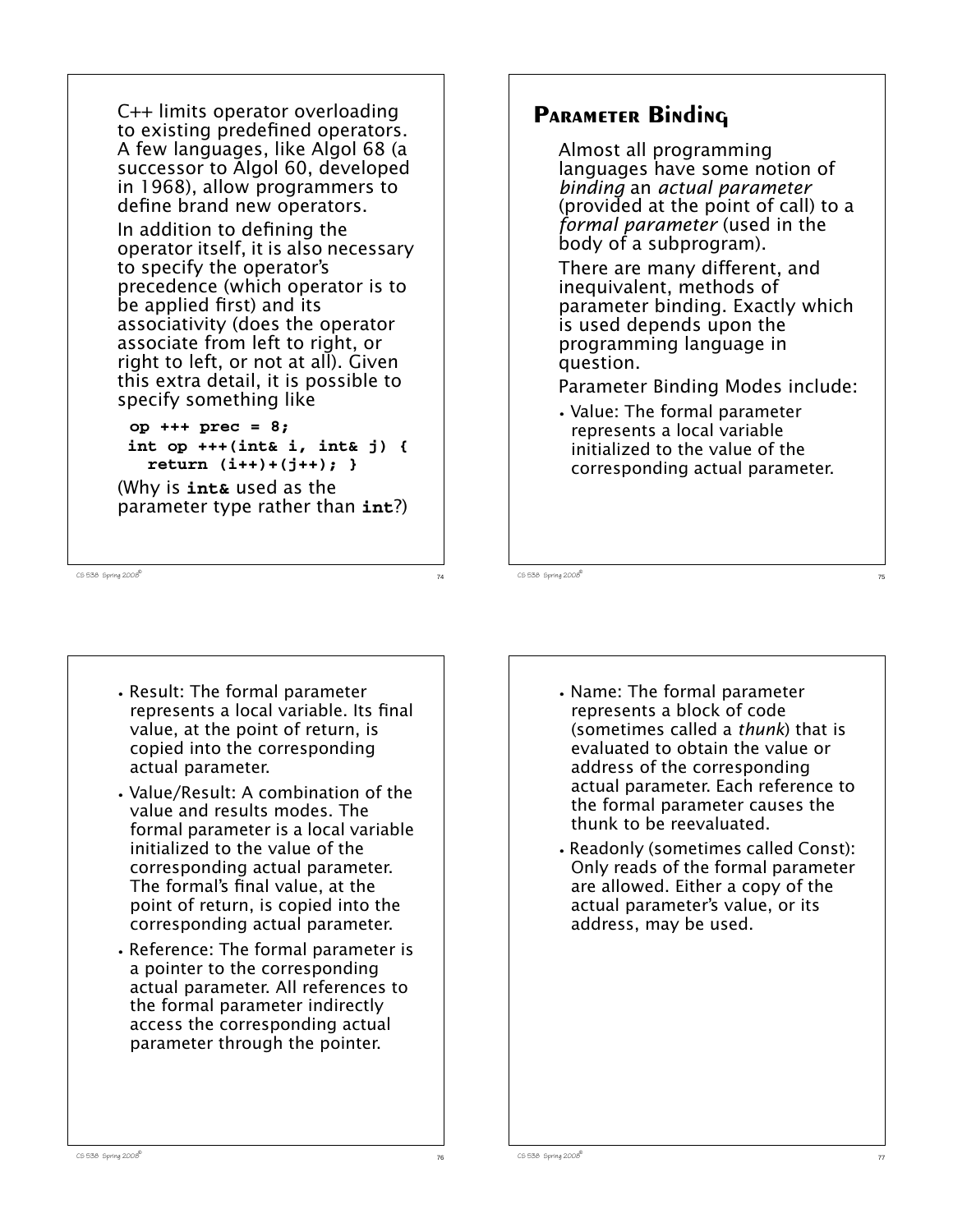```
C++ limits operator overloading
to existing predefined operators.
A few languages, like Algol 68 (a
successor to Algol 60, developed
in 1968), allow programmers to
define brand new operators.
```
In addition to defining the operator itself, it is also necessary to specify the operator's precedence (which operator is to be applied first) and its associativity (does the operator associate from left to right, or right to left, or not at all). Given this extra detail, it is possible to specify something like

```
op +++ prec = 8;
 int op +++(int& i, int& j) {
   return (i++)+(j++); }
```
(Why is **int&** used as the parameter type rather than **int**?)

 $C5$  538 Spring 2008

# **Parameter Binding**

Almost all programming languages have some notion of *binding* an *actual parameter* (provided at the point of call) to a *formal parameter* (used in the body of a subprogram).

There are many different, and inequivalent, methods of parameter binding. Exactly which is used depends upon the programming language in question.

Parameter Binding Modes include:

**•** Value: The formal parameter represents a local variable initialized to the value of the corresponding actual parameter.

CS 538 Spring 2008 $\overline{c}$ 

- **•** Result: The formal parameter represents a local variable. Its final value, at the point of return, is copied into the corresponding actual parameter.
- **•** Value/Result: A combination of the value and results modes. The formal parameter is a local variable initialized to the value of the corresponding actual parameter. The formal's final value, at the point of return, is copied into the corresponding actual parameter.
- **•** Reference: The formal parameter is a pointer to the corresponding actual parameter. All references to the formal parameter indirectly access the corresponding actual parameter through the pointer.
- **•** Name: The formal parameter represents a block of code (sometimes called a *thunk*) that is evaluated to obtain the value or address of the corresponding actual parameter. Each reference to the formal parameter causes the thunk to be reevaluated.
- **•** Readonly (sometimes called Const): Only reads of the formal parameter are allowed. Either a copy of the actual parameter's value, or its address, may be used.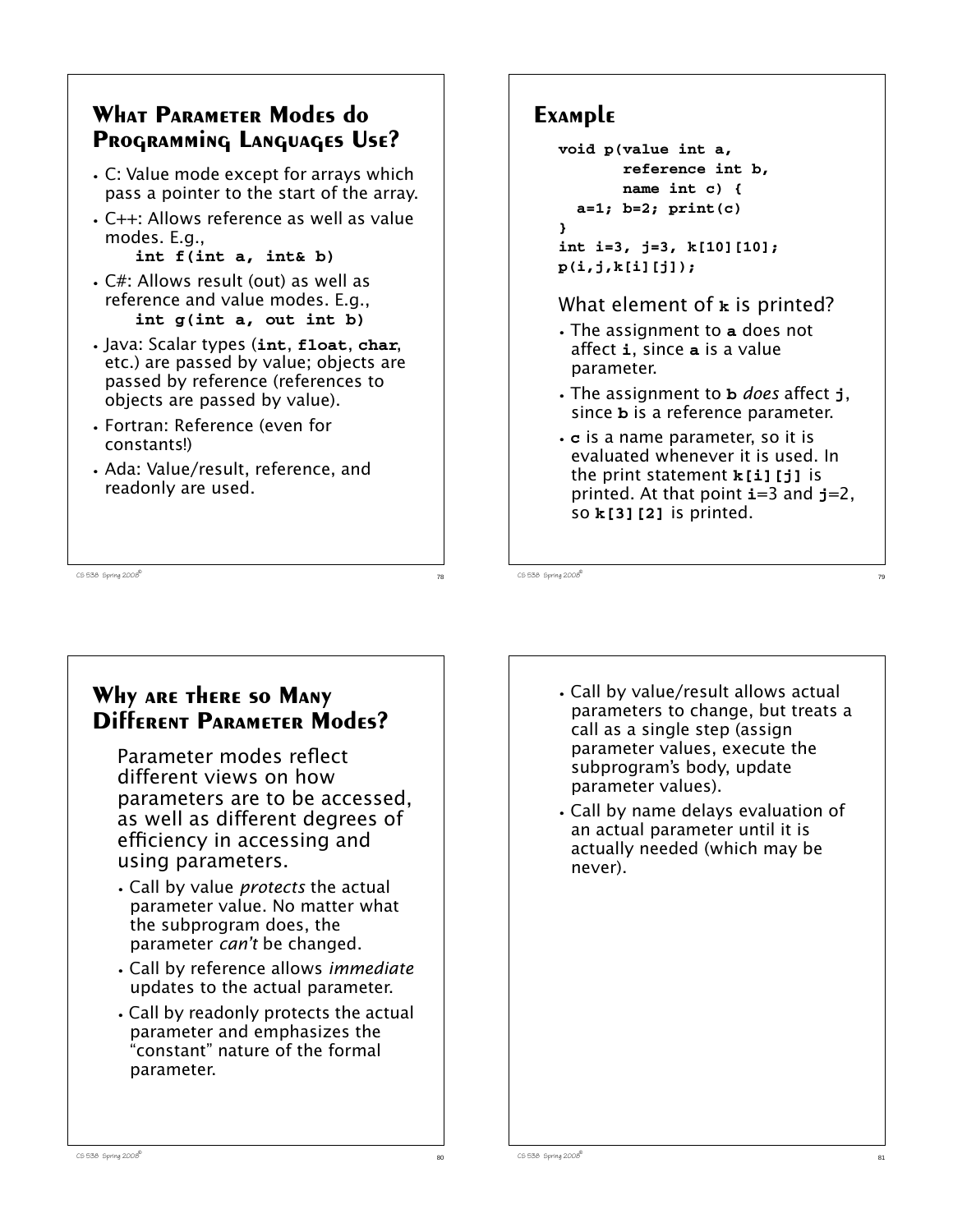### **What Parameter Modes do Programming Languages Use?**

- **•** C: Value mode except for arrays which pass a pointer to the start of the array.
- **•** C++: Allows reference as well as value modes. E.g.,

**int f(int a, int& b)**

- **•** C#: Allows result (out) as well as reference and value modes. E.g., **int g(int a, out int b)**
- **•** Java: Scalar types (**int**, **float**, **char**, etc.) are passed by value; objects are passed by reference (references to objects are passed by value).
- **•** Fortran: Reference (even for constants!)
- **•** Ada: Value/result, reference, and readonly are used.

# **Example**

```
void p(value int a,
        reference int b,
        name int c) {
   a=1; b=2; print(c)
}
int i=3, j=3, k[10][10];
p(i,j,k[i][j]);
```
What element of **k** is printed?

- **•** The assignment to **a** does not affect **i**, since **a** is a value parameter.
- **•** The assignment to **b** *does* affect **j**, since **b** is a reference parameter.
- **• c** is a name parameter, so it is evaluated whenever it is used. In the print statement **k[i][j]** is printed. At that point **i**=3 and **j**=2, so **k[3][2]** is printed.

 $C5$  538 Spring 2008

# **Why are there so Many Different Parameter Modes?**

Parameter modes reflect different views on how parameters are to be accessed, as well as different degrees of efficiency in accessing and using parameters.

- **•** Call by value *protects* the actual parameter value. No matter what the subprogram does, the parameter *can't* be changed.
- **•** Call by reference allows *immediate* updates to the actual parameter.
- **•** Call by readonly protects the actual parameter and emphasizes the "constant" nature of the formal parameter.
- **•** Call by value/result allows actual parameters to change, but treats a call as a single step (assign parameter values, execute the subprogram's body, update parameter values).
- **•** Call by name delays evaluation of an actual parameter until it is actually needed (which may be never).

 $C5$  538 Spring 2008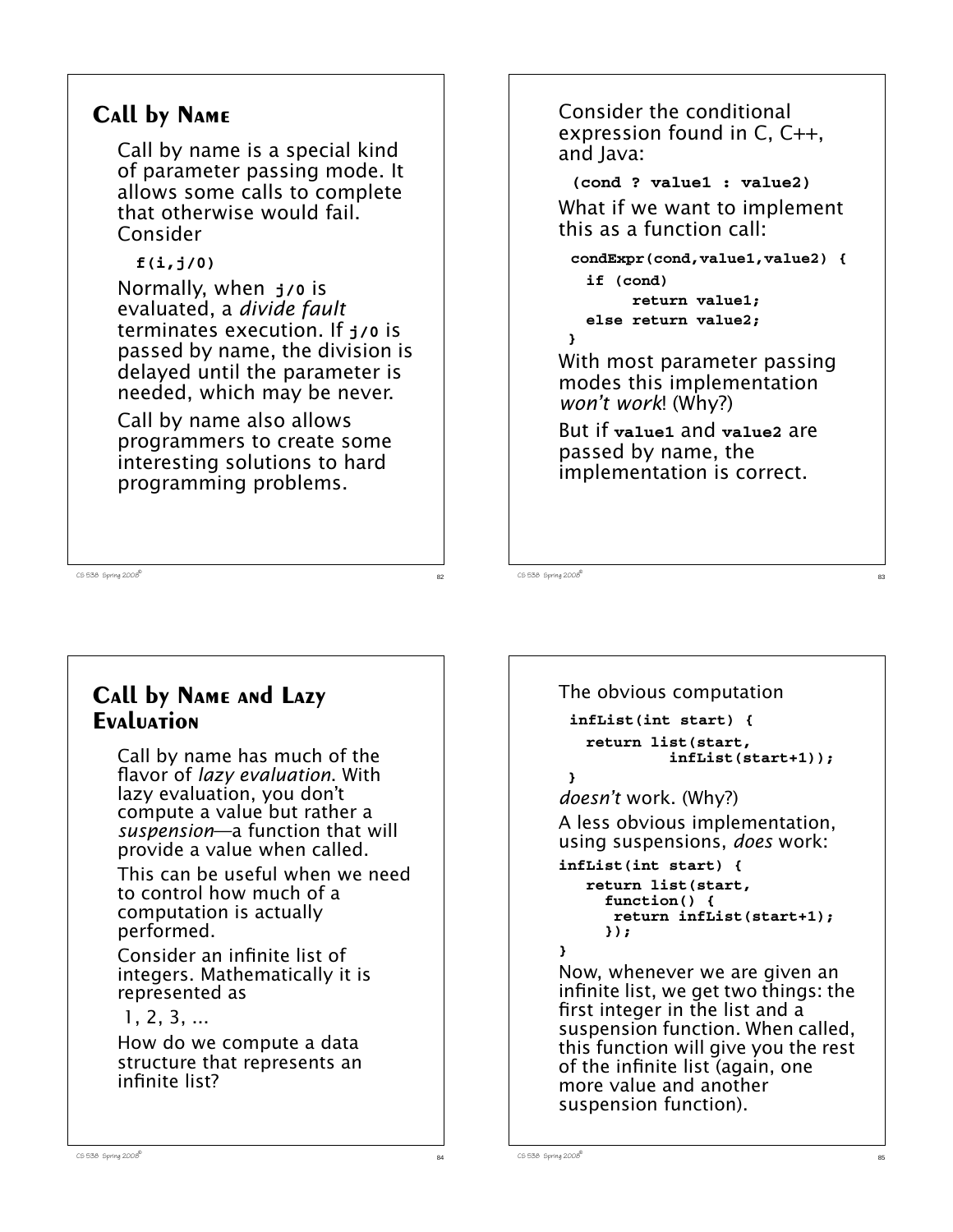# **Call by Name**

Call by name is a special kind of parameter passing mode. It allows some calls to complete that otherwise would fail. Consider

**f(i,j/0)**

Normally, when **j/0** is evaluated, a *divide fault* terminates execution. If **j/0** is passed by name, the division is delayed until the parameter is needed, which may be never.

Call by name also allows programmers to create some interesting solutions to hard programming problems.

Consider the conditional expression found in C, C++, and Java:

**(cond ? value1 : value2)** What if we want to implement this as a function call:

**condExpr(cond,value1,value2) { if (cond) return value1; else return value2; }**

With most parameter passing modes this implementation *won't work*! (Why?)

But if **value1** and **value2** are passed by name, the implementation is correct.

 $\overline{c}$ 538 Spring 2008 $\overline{c}$ 83

 $\overline{3}$  CS 538 Spring 2008 $\overline{8}$ 

# **Call by Name and Lazy Evaluation**

Call by name has much of the flavor of *lazy evaluation*. With lazy evaluation, you don't compute a value but rather a *suspension*—a function that will provide a value when called.

This can be useful when we need to control how much of a computation is actually performed.

Consider an infinite list of integers. Mathematically it is represented as

#### 1, 2, 3, ...

How do we compute a data structure that represents an infinite list?

```
The obvious computation
 infList(int start) {
    return list(start,
              infList(start+1));
  }
doesn't work. (Why?)
A less obvious implementation,
using suspensions, does work:
infList(int start) {
    return list(start,
      function() {
       return infList(start+1);
      });
}
Now, whenever we are given an
infinite list, we get two things: the
first integer in the list and a
suspension function. When called,
this function will give you the rest
of the infinite list (again, one
more value and another
suspension function).
```